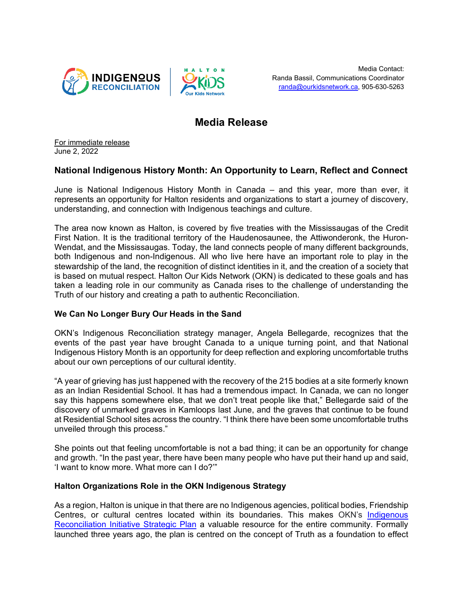



# **Media Release**

For immediate release June 2, 2022

## **National Indigenous History Month: An Opportunity to Learn, Reflect and Connect**

June is National Indigenous History Month in Canada – and this year, more than ever, it represents an opportunity for Halton residents and organizations to start a journey of discovery, understanding, and connection with Indigenous teachings and culture.

The area now known as Halton, is covered by five treaties with the Mississaugas of the Credit First Nation. It is the traditional territory of the Haudenosaunee, the Attiwonderonk, the Huron-Wendat, and the Mississaugas. Today, the land connects people of many different backgrounds, both Indigenous and non-Indigenous. All who live here have an important role to play in the stewardship of the land, the recognition of distinct identities in it, and the creation of a society that is based on mutual respect. Halton Our Kids Network (OKN) is dedicated to these goals and has taken a leading role in our community as Canada rises to the challenge of understanding the Truth of our history and creating a path to authentic Reconciliation.

## **We Can No Longer Bury Our Heads in the Sand**

OKN's Indigenous Reconciliation strategy manager, Angela Bellegarde, recognizes that the events of the past year have brought Canada to a unique turning point, and that National Indigenous History Month is an opportunity for deep reflection and exploring uncomfortable truths about our own perceptions of our cultural identity.

"A year of grieving has just happened with the recovery of the 215 bodies at a site formerly known as an Indian Residential School. It has had a tremendous impact. In Canada, we can no longer say this happens somewhere else, that we don't treat people like that," Bellegarde said of the discovery of unmarked graves in Kamloops last June, and the graves that continue to be found at Residential School sites across the country. "I think there have been some uncomfortable truths unveiled through this process."

She points out that feeling uncomfortable is not a bad thing; it can be an opportunity for change and growth. "In the past year, there have been many people who have put their hand up and said, 'I want to know more. What more can I do?'"

## **Halton Organizations Role in the OKN Indigenous Strategy**

As a region, Halton is unique in that there are no Indigenous agencies, political bodies, Friendship Centres, or cultural centres located within its boundaries. This makes OKN's Indigenous [Reconciliation Initiative Strategic Plan](https://www.ourkidsnetwork.ca/Public/OKN-Indigenous-Reconciliation) a valuable resource for the entire community. Formally launched three years ago, the plan is centred on the concept of Truth as a foundation to effect